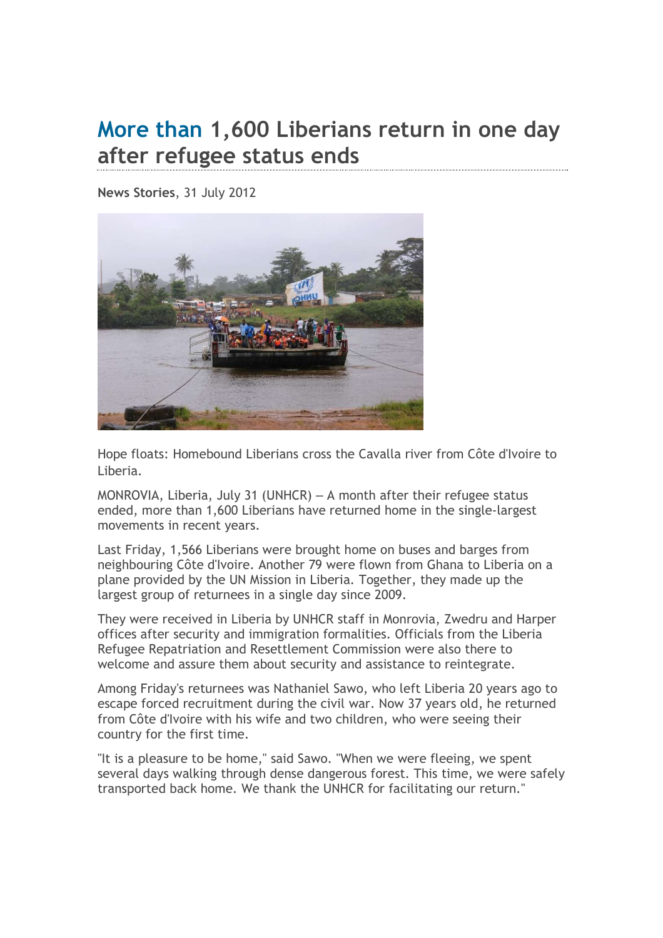## More than 1,600 Liberians return in one day after refugee status ends

News Stories, 31 July 2012



Hope floats: Homebound Liberians cross the Cavalla river from Côte d'Ivoire to Liberia.

MONROVIA, Liberia, July 31 (UNHCR) – A month after their refugee status ended, more than 1,600 Liberians have returned home in the single-largest movements in recent years.

Last Friday, 1,566 Liberians were brought home on buses and barges from neighbouring Côte d'Ivoire. Another 79 were flown from Ghana to Liberia on a plane provided by the UN Mission in Liberia. Together, they made up the largest group of returnees in a single day since 2009.

They were received in Liberia by UNHCR staff in Monrovia, Zwedru and Harper offices after security and immigration formalities. Officials from the Liberia Refugee Repatriation and Resettlement Commission were also there to welcome and assure them about security and assistance to reintegrate.

Among Friday's returnees was Nathaniel Sawo, who left Liberia 20 years ago to escape forced recruitment during the civil war. Now 37 years old, he returned from Côte d'Ivoire with his wife and two children, who were seeing their country for the first time.

"It is a pleasure to be home," said Sawo. "When we were fleeing, we spent several days walking through dense dangerous forest. This time, we were safely transported back home. We thank the UNHCR for facilitating our return."